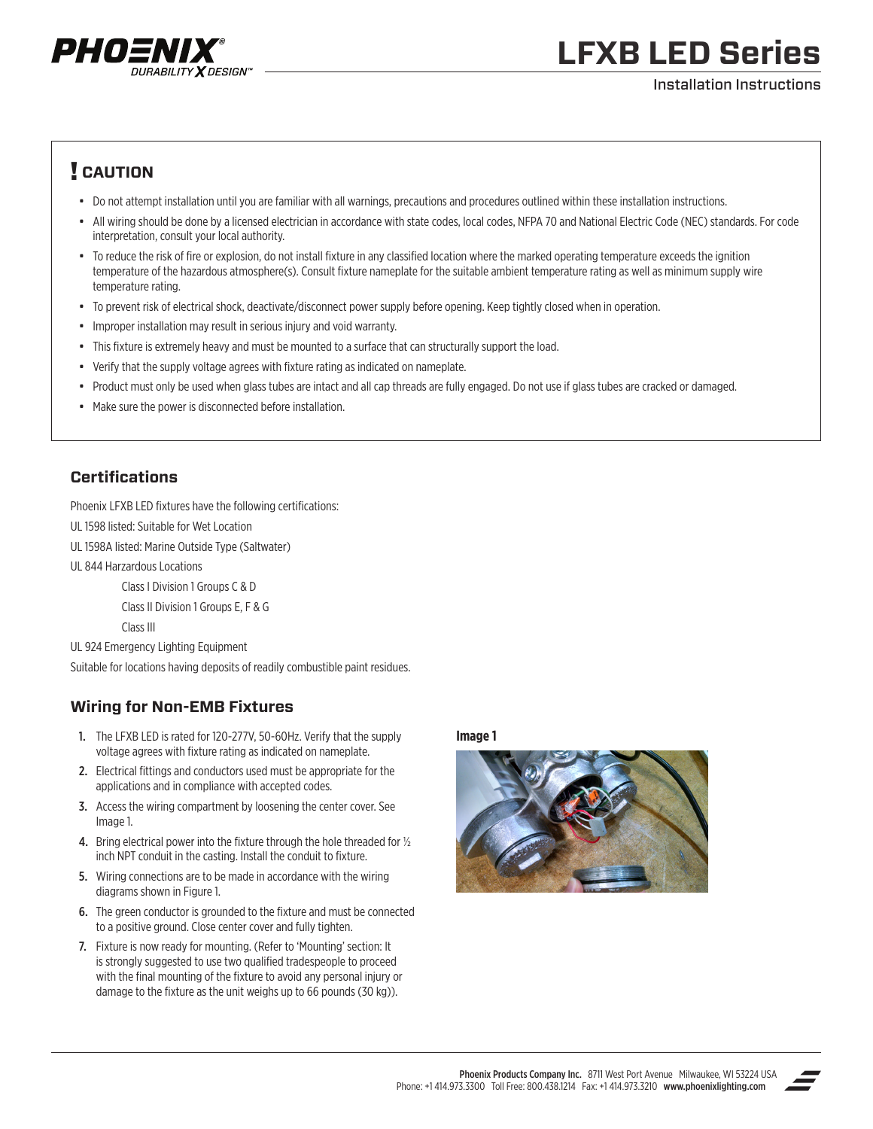

# **LFXB LED Series**

#### Installation Instructions

### ! **CAUTION**

- Do not attempt installation until you are familiar with all warnings, precautions and procedures outlined within these installation instructions.
- All wiring should be done by a licensed electrician in accordance with state codes, local codes, NFPA 70 and National Electric Code (NEC) standards. For code interpretation, consult your local authority.
- To reduce the risk of fire or explosion, do not install fixture in any classified location where the marked operating temperature exceeds the ignition temperature of the hazardous atmosphere(s). Consult fixture nameplate for the suitable ambient temperature rating as well as minimum supply wire temperature rating.
- To prevent risk of electrical shock, deactivate/disconnect power supply before opening. Keep tightly closed when in operation.
- Improper installation may result in serious injury and void warranty.
- This fixture is extremely heavy and must be mounted to a surface that can structurally support the load.
- Verify that the supply voltage agrees with fixture rating as indicated on nameplate.
- Product must only be used when glass tubes are intact and all cap threads are fully engaged. Do not use if glass tubes are cracked or damaged.
- Make sure the power is disconnected before installation.

### **Certifications**

Phoenix LFXB LED fixtures have the following certifications:

UL 1598 listed: Suitable for Wet Location

UL 1598A listed: Marine Outside Type (Saltwater)

UL 844 Harzardous Locations

Class I Division 1 Groups C & D

Class II Division 1 Groups E, F & G

Class III

UL 924 Emergency Lighting Equipment

Suitable for locations having deposits of readily combustible paint residues.

#### **Wiring for Non-EMB Fixtures**

- 1. The LFXB LED is rated for 120-277V, 50-60Hz. Verify that the supply voltage agrees with fixture rating as indicated on nameplate.
- 2. Electrical fittings and conductors used must be appropriate for the applications and in compliance with accepted codes.
- 3. Access the wiring compartment by loosening the center cover. See Image 1.
- 4. Bring electrical power into the fixture through the hole threaded for  $\frac{1}{2}$ inch NPT conduit in the casting. Install the conduit to fixture.
- 5. Wiring connections are to be made in accordance with the wiring diagrams shown in Figure 1.
- 6. The green conductor is grounded to the fixture and must be connected to a positive ground. Close center cover and fully tighten.
- 7. Fixture is now ready for mounting. (Refer to 'Mounting' section: It is strongly suggested to use two qualified tradespeople to proceed with the final mounting of the fixture to avoid any personal injury or damage to the fixture as the unit weighs up to 66 pounds (30 kg)).

**Image 1**



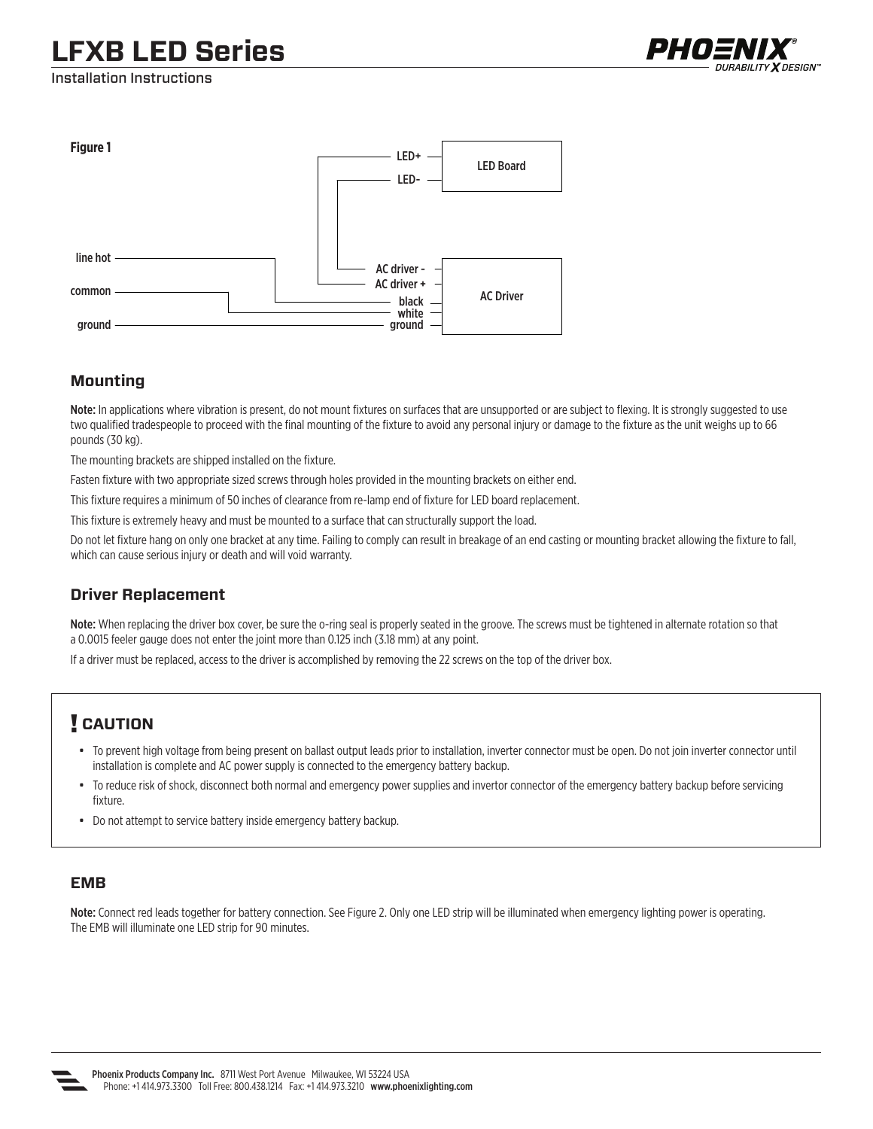## **LFXB LED Series**



Installation Instructions



#### **Mounting**

Note: In applications where vibration is present, do not mount fixtures on surfaces that are unsupported or are subject to flexing. It is strongly suggested to use two qualified tradespeople to proceed with the final mounting of the fixture to avoid any personal injury or damage to the fixture as the unit weighs up to 66 pounds (30 kg).

The mounting brackets are shipped installed on the fixture.

Fasten fixture with two appropriate sized screws through holes provided in the mounting brackets on either end.

This fixture requires a minimum of 50 inches of clearance from re-lamp end of fixture for LED board replacement.

This fixture is extremely heavy and must be mounted to a surface that can structurally support the load.

Do not let fixture hang on only one bracket at any time. Failing to comply can result in breakage of an end casting or mounting bracket allowing the fixture to fall, which can cause serious injury or death and will void warranty.

#### **Driver Replacement**

Note: When replacing the driver box cover, be sure the o-ring seal is properly seated in the groove. The screws must be tightened in alternate rotation so that a 0.0015 feeler gauge does not enter the joint more than 0.125 inch (3.18 mm) at any point.

If a driver must be replaced, access to the driver is accomplished by removing the 22 screws on the top of the driver box.

## ! **CAUTION**

- To prevent high voltage from being present on ballast output leads prior to installation, inverter connector must be open. Do not join inverter connector until installation is complete and AC power supply is connected to the emergency battery backup.
- To reduce risk of shock, disconnect both normal and emergency power supplies and invertor connector of the emergency battery backup before servicing fixture.
- Do not attempt to service battery inside emergency battery backup.

#### **EMB**

Note: Connect red leads together for battery connection. See Figure 2. Only one LED strip will be illuminated when emergency lighting power is operating. The EMB will illuminate one LED strip for 90 minutes.